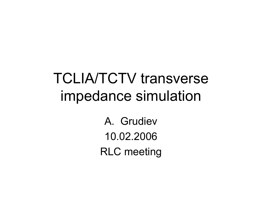# TCLIA/TCTV transverse impedance simulation

A. Grudiev10.02.2006RLC meeting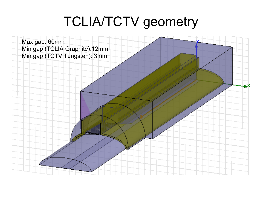## TCLIA/TCTV geometry

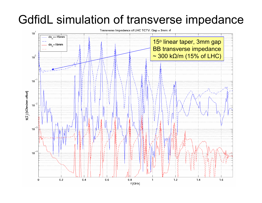### GdfidL simulation of transverse impedance

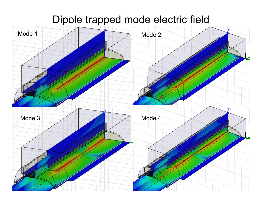### Dipole trapped mode electric field

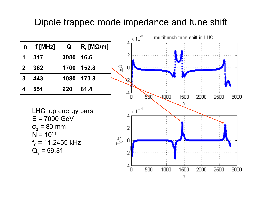#### Dipole trapped mode impedance and tune shift

| n           | f [MHz] | Q    | $R_{i}$ [M $\Omega/m$ ] |
|-------------|---------|------|-------------------------|
|             | 317     | 3080 | 16.6                    |
| $\mathbf 2$ | 362     | 1700 | 152.8                   |
| 3           | 443     | 1080 | 173.8                   |
| 4           | 551     | 920  | 81.4                    |



LHC top energy pars: E = 7000 GeV σ z = 80 mm  $N = 10^{11}$  $\rm f_{0}$  = 11.2455 kHz  $\rm Q_y$  = 59.31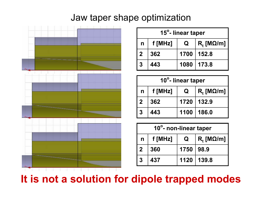#### Jaw taper shape optimization



| 15°- linear taper |           |             |                       |  |  |
|-------------------|-----------|-------------|-----------------------|--|--|
| $\mathsf{n}$      | $f$ [MHz] | $\mathbf Q$ | $R_t$ [M $\Omega$ /m] |  |  |
| $\overline{2}$    | 362       |             | 1700   152.8          |  |  |
| 3                 | 443       |             | 1080   173.8          |  |  |

| 10°- linear taper |         |             |                     |  |  |
|-------------------|---------|-------------|---------------------|--|--|
| $n \mid$          | f [MHz] | $\mathbf Q$ | $\mid R_{t}$ [MΩ/m] |  |  |
| l 2               | 362     |             | 1720   132.9        |  |  |
| 3                 | 443     |             | 1100   186.0        |  |  |

| 10°- non-linear taper |         |             |                              |  |  |
|-----------------------|---------|-------------|------------------------------|--|--|
| $\mathsf{n}$          | f [MHz] | $\mathbf Q$ | $\mid R_{t}$ [M $\Omega/m$ ] |  |  |
| $\vert 2 \vert$       | 360     | 1750   98.9 |                              |  |  |
| $\mathbf{3}$          | 437     |             | $1120$   139.8               |  |  |

### **It is not a solution for dipole trapped modes**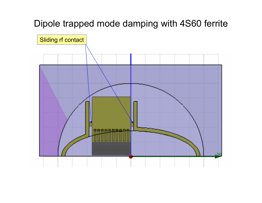#### Dipole trapped mode damping with 4S60 ferrite